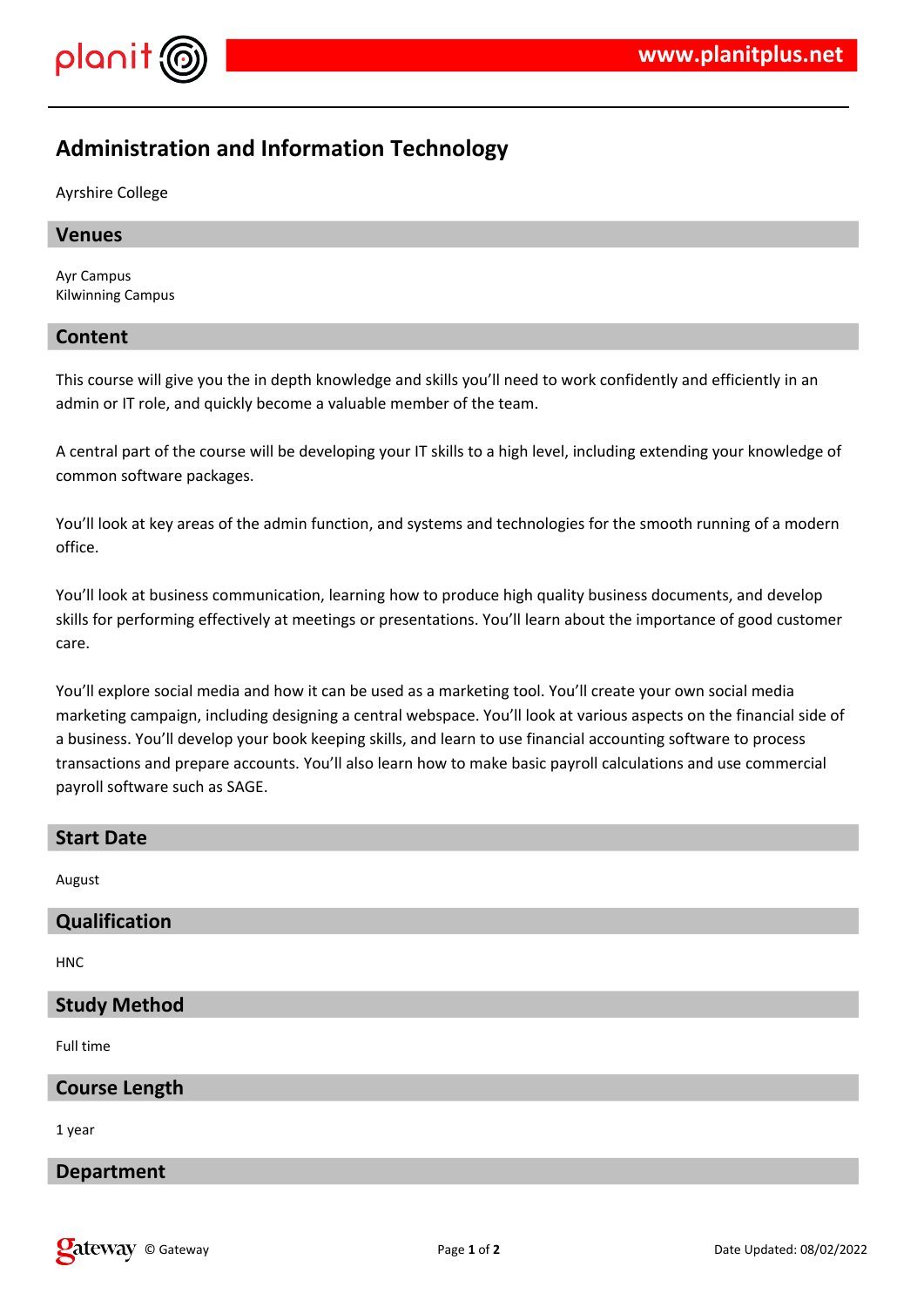

# **Administration and Information Technology**

Ayrshire College

### **Venues**

Ayr Campus Kilwinning Campus

### **Content**

This course will give you the in depth knowledge and skills you'll need to work confidently and efficiently in an admin or IT role, and quickly become a valuable member of the team.

A central part of the course will be developing your IT skills to a high level, including extending your knowledge of common software packages.

You'll look at key areas of the admin function, and systems and technologies for the smooth running of a modern office.

You'll look at business communication, learning how to produce high quality business documents, and develop skills for performing effectively at meetings or presentations. You'll learn about the importance of good customer care.

You'll explore social media and how it can be used as a marketing tool. You'll create your own social media marketing campaign, including designing a central webspace. You'll look at various aspects on the financial side of a business. You'll develop your book keeping skills, and learn to use financial accounting software to process transactions and prepare accounts. You'll also learn how to make basic payroll calculations and use commercial payroll software such as SAGE.

| <b>Start Date</b>    |
|----------------------|
| August               |
| Qualification        |
| <b>HNC</b>           |
| <b>Study Method</b>  |
| Full time            |
| <b>Course Length</b> |
| 1 year               |
| <b>Department</b>    |